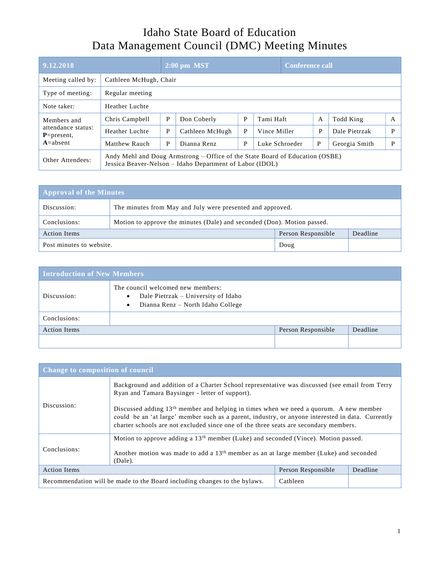## Idaho State Board of Education Data Management Council (DMC) Meeting Minutes

| 9.12.2018                                                            |                                                                                                                                          | $2:00$ pm MST          |                 |   |                | <b>Conference call</b> |                |               |   |
|----------------------------------------------------------------------|------------------------------------------------------------------------------------------------------------------------------------------|------------------------|-----------------|---|----------------|------------------------|----------------|---------------|---|
| Meeting called by:                                                   |                                                                                                                                          | Cathleen McHugh, Chair |                 |   |                |                        |                |               |   |
| Type of meeting:                                                     | Regular meeting                                                                                                                          |                        |                 |   |                |                        |                |               |   |
| Note taker:                                                          | Heather Luchte                                                                                                                           |                        |                 |   |                |                        |                |               |   |
| Members and<br>attendance status:<br>$P = present$ ,<br>$A = absent$ | Chris Campbell                                                                                                                           | P                      | Don Coberly     | P | Tami Haft      |                        | $\overline{A}$ | Todd King     | A |
|                                                                      | Heather Luchte                                                                                                                           | P                      | Cathleen McHugh | P | Vince Miller   |                        | P              | Dale Pietrzak | P |
|                                                                      | Matthew Rauch                                                                                                                            | P                      | Dianna Renz     | P | Luke Schroeder |                        | P              | Georgia Smith | P |
| Other Attendees:                                                     | Andy Mehl and Doug Armstrong – Office of the State Board of Education (OSBE)<br>Jessica Beaver-Nelson – Idaho Department of Labor (IDOL) |                        |                 |   |                |                        |                |               |   |

| <b>Approval of the Minutes</b> |                                                                         |                    |          |  |
|--------------------------------|-------------------------------------------------------------------------|--------------------|----------|--|
| Discussion:                    | The minutes from May and July were presented and approved.              |                    |          |  |
| Conclusions:                   | Motion to approve the minutes (Dale) and seconded (Don). Motion passed. |                    |          |  |
| <b>Action Items</b>            |                                                                         | Person Responsible | Deadline |  |
| Post minutes to website.       |                                                                         | Doug               |          |  |

| <b>Introduction of New Members</b> |                                                                                                                                         |                    |          |  |
|------------------------------------|-----------------------------------------------------------------------------------------------------------------------------------------|--------------------|----------|--|
| Discussion:                        | The council welcomed new members:<br>Dale Pietrzak – University of Idaho<br>$\bullet$<br>Dianna Renz – North Idaho College<br>$\bullet$ |                    |          |  |
| Conclusions:                       |                                                                                                                                         |                    |          |  |
| <b>Action Items</b>                |                                                                                                                                         | Person Responsible | Deadline |  |
|                                    |                                                                                                                                         |                    |          |  |

| <b>Change to composition of council</b>                                   |                                                                                                                                                                                                                                                                                      |                    |          |  |
|---------------------------------------------------------------------------|--------------------------------------------------------------------------------------------------------------------------------------------------------------------------------------------------------------------------------------------------------------------------------------|--------------------|----------|--|
| Discussion:                                                               | Background and addition of a Charter School representative was discussed (see email from Terry<br>Ryan and Tamara Baysinger - letter of support).                                                                                                                                    |                    |          |  |
|                                                                           | Discussed adding $13th$ member and helping in times when we need a quorum. A new member<br>could be an 'at large' member such as a parent, industry, or anyone interested in data. Currently<br>charter schools are not excluded since one of the three seats are secondary members. |                    |          |  |
| Conclusions:                                                              | Motion to approve adding a 13 <sup>th</sup> member (Luke) and seconded (Vince). Motion passed.                                                                                                                                                                                       |                    |          |  |
|                                                                           | Another motion was made to add a 13 <sup>th</sup> member as an at large member (Luke) and seconded<br>(Dale).                                                                                                                                                                        |                    |          |  |
| <b>Action Items</b>                                                       |                                                                                                                                                                                                                                                                                      | Person Responsible | Deadline |  |
| Recommendation will be made to the Board including changes to the bylaws. |                                                                                                                                                                                                                                                                                      | Cathleen           |          |  |